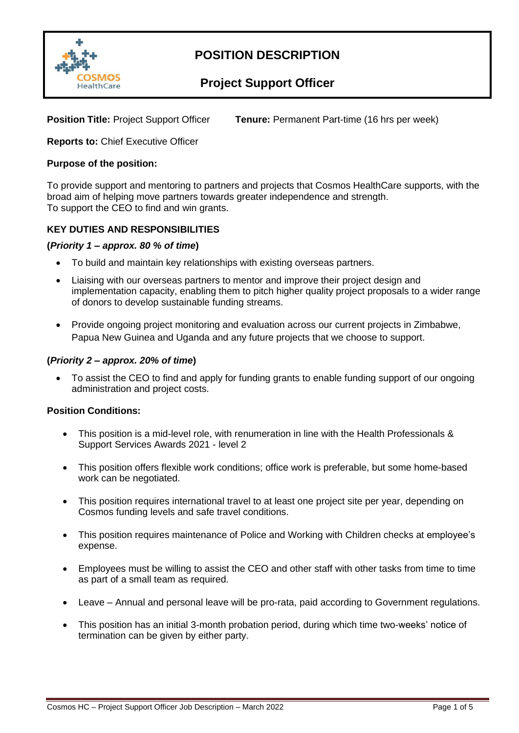

### **Project Support Officer**

**Position Title:** Project Support Officer **Tenure:** Permanent Part-time (16 hrs per week)

**Reports to:** Chief Executive Officer

#### **Purpose of the position:**

To provide support and mentoring to partners and projects that Cosmos HealthCare supports, with the broad aim of helping move partners towards greater independence and strength. To support the CEO to find and win grants.

### **KEY DUTIES AND RESPONSIBILITIES**

#### **(***Priority 1 – approx. 80 % of time***)**

- To build and maintain key relationships with existing overseas partners.
- Liaising with our overseas partners to mentor and improve their project design and implementation capacity, enabling them to pitch higher quality project proposals to a wider range of donors to develop sustainable funding streams.
- Provide ongoing project monitoring and evaluation across our current projects in Zimbabwe, Papua New Guinea and Uganda and any future projects that we choose to support.

### **(***Priority 2 – approx. 20% of time***)**

• To assist the CEO to find and apply for funding grants to enable funding support of our ongoing administration and project costs.

#### **Position Conditions:**

- This position is a mid-level role, with renumeration in line with the Health Professionals & Support Services Awards 2021 - level 2
- This position offers flexible work conditions; office work is preferable, but some home-based work can be negotiated.
- This position requires international travel to at least one project site per year, depending on Cosmos funding levels and safe travel conditions.
- This position requires maintenance of Police and Working with Children checks at employee's expense.
- Employees must be willing to assist the CEO and other staff with other tasks from time to time as part of a small team as required.
- Leave Annual and personal leave will be pro-rata, paid according to Government regulations.
- This position has an initial 3-month probation period, during which time two-weeks' notice of termination can be given by either party.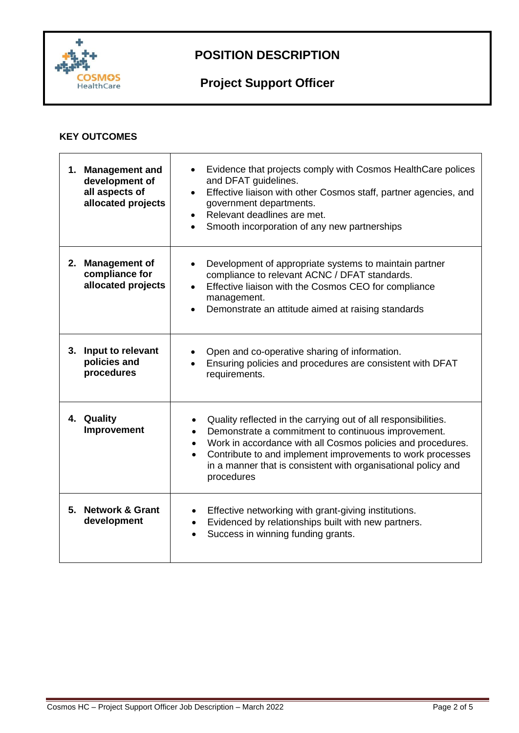

# **Project Support Officer**

### **KEY OUTCOMES**

| <b>Management and</b><br>1.<br>development of<br>all aspects of<br>allocated projects | Evidence that projects comply with Cosmos HealthCare polices<br>and DFAT guidelines.<br>Effective liaison with other Cosmos staff, partner agencies, and<br>$\bullet$<br>government departments.<br>Relevant deadlines are met.<br>Smooth incorporation of any new partnerships                                                                                                       |
|---------------------------------------------------------------------------------------|---------------------------------------------------------------------------------------------------------------------------------------------------------------------------------------------------------------------------------------------------------------------------------------------------------------------------------------------------------------------------------------|
| <b>Management of</b><br>2.<br>compliance for<br>allocated projects                    | Development of appropriate systems to maintain partner<br>compliance to relevant ACNC / DFAT standards.<br>Effective liaison with the Cosmos CEO for compliance<br>management.<br>Demonstrate an attitude aimed at raising standards                                                                                                                                                  |
| 3. Input to relevant<br>policies and<br>procedures                                    | Open and co-operative sharing of information.<br>Ensuring policies and procedures are consistent with DFAT<br>requirements.                                                                                                                                                                                                                                                           |
| 4. Quality<br>Improvement                                                             | Quality reflected in the carrying out of all responsibilities.<br>$\bullet$<br>Demonstrate a commitment to continuous improvement.<br>$\bullet$<br>Work in accordance with all Cosmos policies and procedures.<br>$\bullet$<br>Contribute to and implement improvements to work processes<br>$\bullet$<br>in a manner that is consistent with organisational policy and<br>procedures |
| 5. Network & Grant<br>development                                                     | Effective networking with grant-giving institutions.<br>Evidenced by relationships built with new partners.<br>Success in winning funding grants.                                                                                                                                                                                                                                     |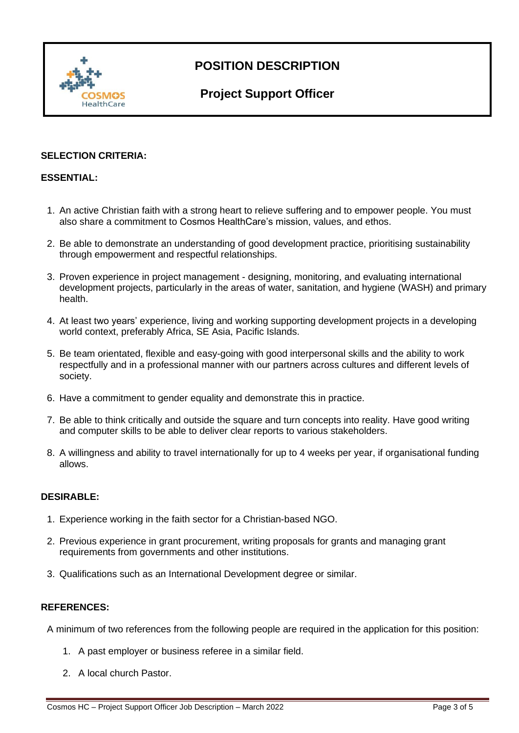

## **Project Support Officer**

### **SELECTION CRITERIA:**

### **ESSENTIAL:**

- 1. An active Christian faith with a strong heart to relieve suffering and to empower people. You must also share a commitment to Cosmos HealthCare's mission, values, and ethos.
- 2. Be able to demonstrate an understanding of good development practice, prioritising sustainability through empowerment and respectful relationships.
- 3. Proven experience in project management designing, monitoring, and evaluating international development projects, particularly in the areas of water, sanitation, and hygiene (WASH) and primary health.
- 4. At least two years' experience, living and working supporting development projects in a developing world context, preferably Africa, SE Asia, Pacific Islands.
- 5. Be team orientated, flexible and easy-going with good interpersonal skills and the ability to work respectfully and in a professional manner with our partners across cultures and different levels of society.
- 6. Have a commitment to gender equality and demonstrate this in practice.
- 7. Be able to think critically and outside the square and turn concepts into reality. Have good writing and computer skills to be able to deliver clear reports to various stakeholders.
- 8. A willingness and ability to travel internationally for up to 4 weeks per year, if organisational funding allows.

### **DESIRABLE:**

- 1. Experience working in the faith sector for a Christian-based NGO.
- 2. Previous experience in grant procurement, writing proposals for grants and managing grant requirements from governments and other institutions.
- 3. Qualifications such as an International Development degree or similar.

### **REFERENCES:**

A minimum of two references from the following people are required in the application for this position:

- 1. A past employer or business referee in a similar field.
- 2. A local church Pastor.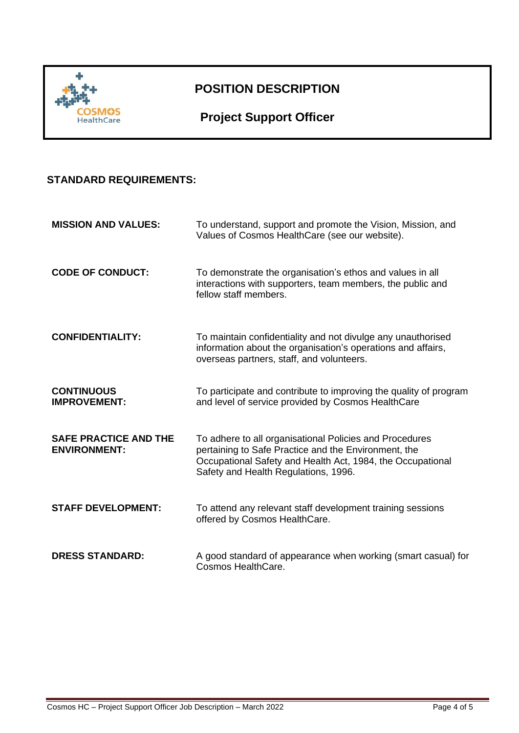

## **Project Support Officer**

### **STANDARD REQUIREMENTS:**

| <b>MISSION AND VALUES:</b>                          | To understand, support and promote the Vision, Mission, and<br>Values of Cosmos HealthCare (see our website).                                                                                                         |
|-----------------------------------------------------|-----------------------------------------------------------------------------------------------------------------------------------------------------------------------------------------------------------------------|
| <b>CODE OF CONDUCT:</b>                             | To demonstrate the organisation's ethos and values in all<br>interactions with supporters, team members, the public and<br>fellow staff members.                                                                      |
| <b>CONFIDENTIALITY:</b>                             | To maintain confidentiality and not divulge any unauthorised<br>information about the organisation's operations and affairs,<br>overseas partners, staff, and volunteers.                                             |
| <b>CONTINUOUS</b><br><b>IMPROVEMENT:</b>            | To participate and contribute to improving the quality of program<br>and level of service provided by Cosmos HealthCare                                                                                               |
| <b>SAFE PRACTICE AND THE</b><br><b>ENVIRONMENT:</b> | To adhere to all organisational Policies and Procedures<br>pertaining to Safe Practice and the Environment, the<br>Occupational Safety and Health Act, 1984, the Occupational<br>Safety and Health Regulations, 1996. |
| <b>STAFF DEVELOPMENT:</b>                           | To attend any relevant staff development training sessions<br>offered by Cosmos HealthCare.                                                                                                                           |
| <b>DRESS STANDARD:</b>                              | A good standard of appearance when working (smart casual) for<br>Cosmos HealthCare.                                                                                                                                   |